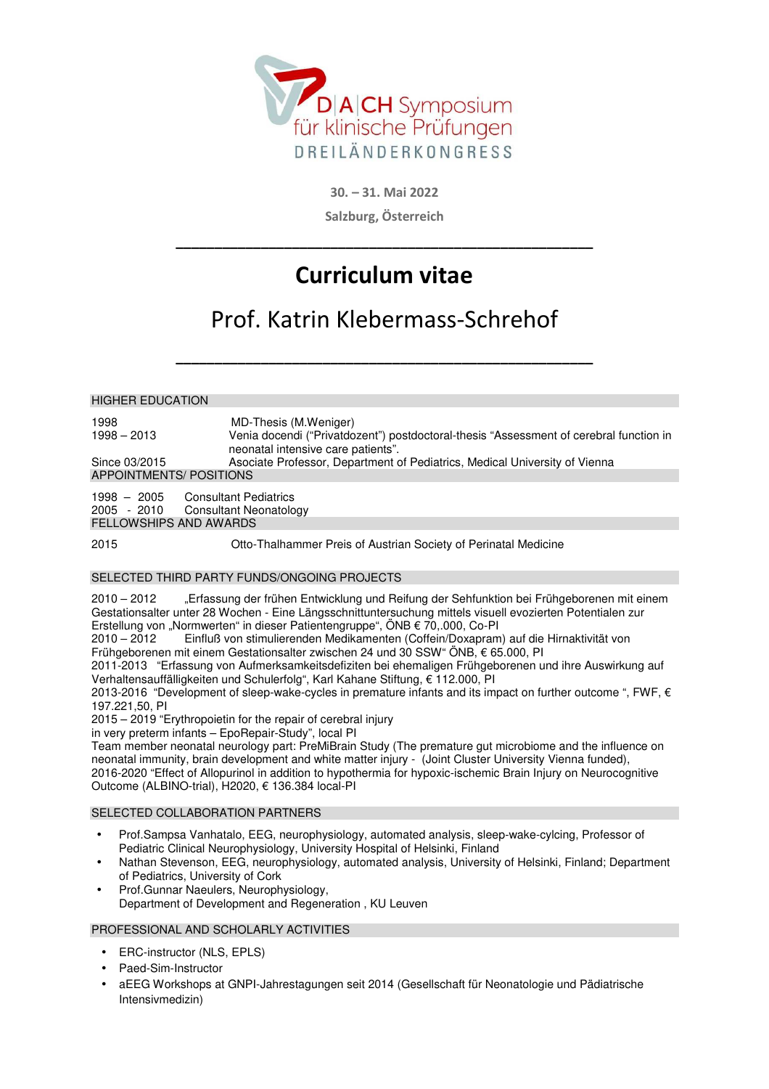

**30. – 31. Mai 2022 Salzburg, Österreich** 

# **Curriculum vitae**

**\_\_\_\_\_\_\_\_\_\_\_\_\_\_\_\_\_\_\_\_\_\_\_\_\_\_\_\_\_\_\_\_\_\_\_\_\_\_\_\_\_\_\_\_\_\_\_\_\_\_\_\_\_\_** 

## Prof. Katrin Klebermass-Schrehof

**\_\_\_\_\_\_\_\_\_\_\_\_\_\_\_\_\_\_\_\_\_\_\_\_\_\_\_\_\_\_\_\_\_\_\_\_\_\_\_\_\_\_\_\_\_\_\_\_\_\_\_\_\_\_** 

HIGHER EDUCATION 1998 MD-Thesis (M.Weniger) 1998 – 2013 Venia docendi ("Privatdozent") postdoctoral-thesis "Assessment of cerebral function in neonatal intensive care patients". Since 03/2015 Asociate Professor, Department of Pediatrics, Medical University of Vienna APPOINTMENTS/ POSITIONS 1998 – 2005 Consultant Pediatrics 2005 - 2010 Consultant Neonatology

FELLOWSHIPS AND AWARDS

2015 Otto-Thalhammer Preis of Austrian Society of Perinatal Medicine

#### SELECTED THIRD PARTY FUNDS/ONGOING PROJECTS

2010 – 2012 "Erfassung der frühen Entwicklung und Reifung der Sehfunktion bei Frühgeborenen mit einem Gestationsalter unter 28 Wochen - Eine Längsschnittuntersuchung mittels visuell evozierten Potentialen zur Erstellung von "Normwerten" in dieser Patientengruppe", ÖNB € 70,.000, Co-PI

2010 – 2012 Einfluß von stimulierenden Medikamenten (Coffein/Doxapram) auf die Hirnaktivität von Frühgeborenen mit einem Gestationsalter zwischen 24 und 30 SSW" ÖNB, € 65.000, PI

2011-2013 "Erfassung von Aufmerksamkeitsdefiziten bei ehemaligen Frühgeborenen und ihre Auswirkung auf Verhaltensauffälligkeiten und Schulerfolg", Karl Kahane Stiftung, € 112.000, PI

2013-2016 "Development of sleep-wake-cycles in premature infants and its impact on further outcome ", FWF, € 197.221,50, PI

2015 – 2019 "Erythropoietin for the repair of cerebral injury

in very preterm infants – EpoRepair-Study", local PI

Team member neonatal neurology part: PreMiBrain Study (The premature gut microbiome and the influence on neonatal immunity, brain development and white matter injury - (Joint Cluster University Vienna funded), 2016-2020 "Effect of Allopurinol in addition to hypothermia for hypoxic-ischemic Brain Injury on Neurocognitive Outcome (ALBINO-trial), H2020, € 136.384 local-PI

#### SELECTED COLLABORATION PARTNERS

- Prof.Sampsa Vanhatalo, EEG, neurophysiology, automated analysis, sleep-wake-cylcing, Professor of Pediatric Clinical Neurophysiology, University Hospital of Helsinki, Finland
- Nathan Stevenson, EEG, neurophysiology, automated analysis, University of Helsinki, Finland; Department of Pediatrics, University of Cork
- Prof.Gunnar Naeulers, Neurophysiology, Department of Development and Regeneration , KU Leuven

#### PROFESSIONAL AND SCHOLARLY ACTIVITIES

- ERC-instructor (NLS, EPLS)
- Paed-Sim-Instructor
- aEEG Workshops at GNPI-Jahrestagungen seit 2014 (Gesellschaft für Neonatologie und Pädiatrische Intensivmedizin)